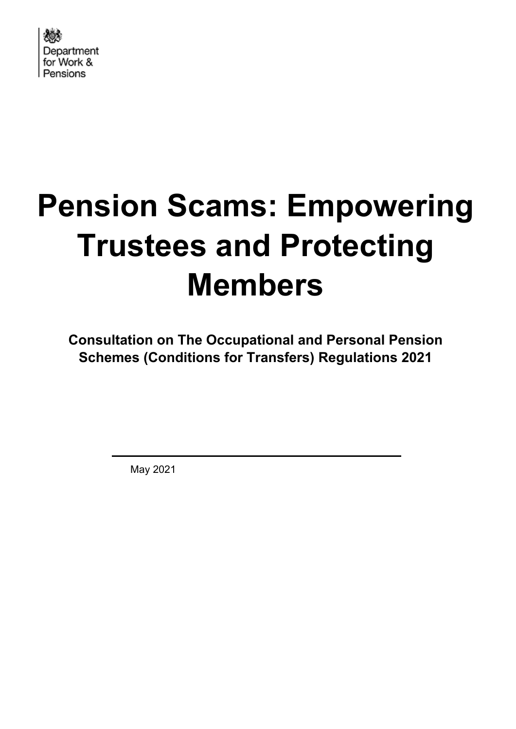

# **Pension Scams: Empowering Trustees and Protecting Members**

**Consultation on The Occupational and Personal Pension Schemes (Conditions for Transfers) Regulations 2021**

May 2021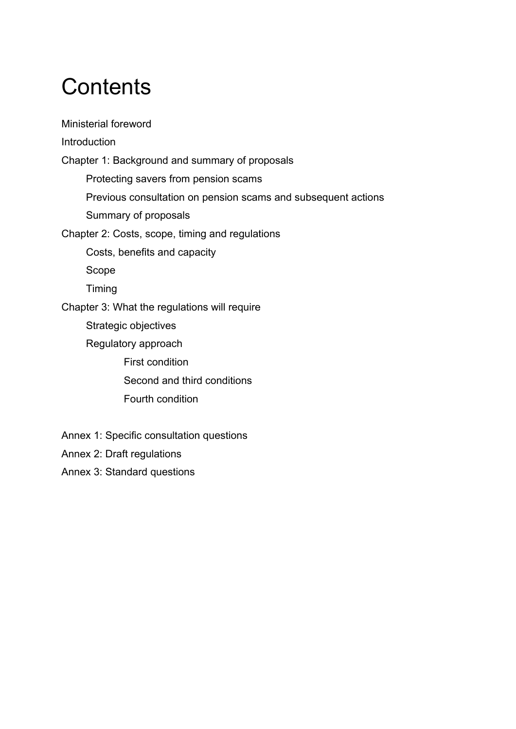## **Contents**

Ministerial foreword **[Introduction](#page-3-0)** [Chapter 1: Background and summary of proposals](#page-5-0) Protecting savers from pension scams Previous consultation on pension scams and subsequent actions Summary of proposals Chapter 2: Costs, scope, timing and regulations Costs, benefits and capacity Scope Timing Chapter 3: What the regulations will require Strategic objectives Regulatory approach First condition Second and third conditions Fourth condition

- Annex 1: Specific consultation questions
- Annex 2: Draft regulations
- Annex 3: Standard questions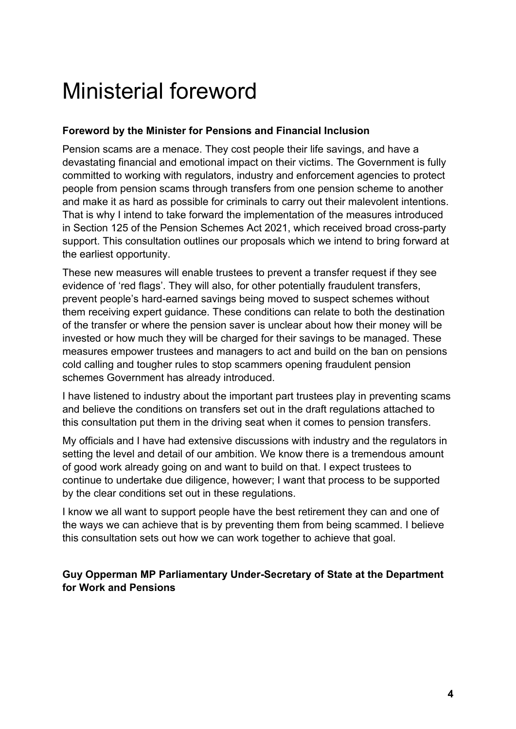## Ministerial foreword

#### **Foreword by the Minister for Pensions and Financial Inclusion**

Pension scams are a menace. They cost people their life savings, and have a devastating financial and emotional impact on their victims. The Government is fully committed to working with regulators, industry and enforcement agencies to protect people from pension scams through transfers from one pension scheme to another and make it as hard as possible for criminals to carry out their malevolent intentions. That is why I intend to take forward the implementation of the measures introduced in Section 125 of the Pension Schemes Act 2021, which received broad cross-party support. This consultation outlines our proposals which we intend to bring forward at the earliest opportunity.

These new measures will enable trustees to prevent a transfer request if they see evidence of 'red flags'. They will also, for other potentially fraudulent transfers, prevent people's hard-earned savings being moved to suspect schemes without them receiving expert guidance. These conditions can relate to both the destination of the transfer or where the pension saver is unclear about how their money will be invested or how much they will be charged for their savings to be managed. These measures empower trustees and managers to act and build on the ban on pensions cold calling and tougher rules to stop scammers opening fraudulent pension schemes Government has already introduced.

I have listened to industry about the important part trustees play in preventing scams and believe the conditions on transfers set out in the draft regulations attached to this consultation put them in the driving seat when it comes to pension transfers.

My officials and I have had extensive discussions with industry and the regulators in setting the level and detail of our ambition. We know there is a tremendous amount of good work already going on and want to build on that. I expect trustees to continue to undertake due diligence, however; I want that process to be supported by the clear conditions set out in these regulations.

I know we all want to support people have the best retirement they can and one of the ways we can achieve that is by preventing them from being scammed. I believe this consultation sets out how we can work together to achieve that goal.

**Guy Opperman MP Parliamentary Under-Secretary of State at the Department for Work and Pensions**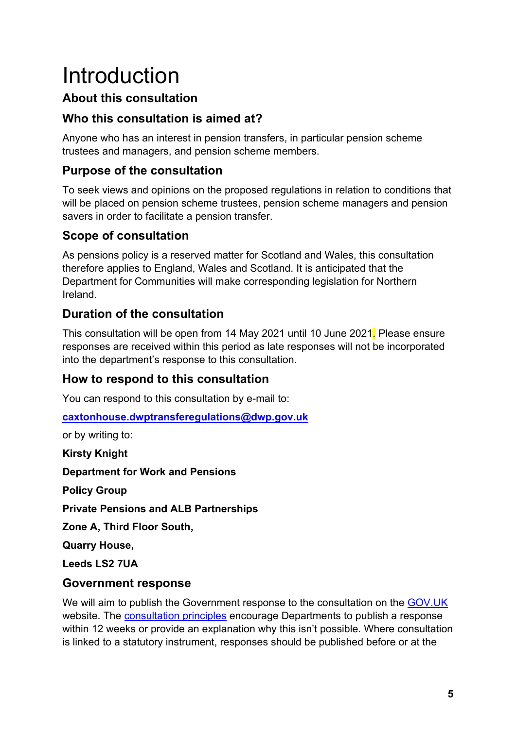## <span id="page-3-0"></span>Introduction

## **About this consultation**

## **Who this consultation is aimed at?**

Anyone who has an interest in pension transfers, in particular pension scheme trustees and managers, and pension scheme members.

## **Purpose of the consultation**

To seek views and opinions on the proposed regulations in relation to conditions that will be placed on pension scheme trustees, pension scheme managers and pension savers in order to facilitate a pension transfer.

## **Scope of consultation**

As pensions policy is a reserved matter for Scotland and Wales, this consultation therefore applies to England, Wales and Scotland. It is anticipated that the Department for Communities will make corresponding legislation for Northern Ireland.

## **Duration of the consultation**

This consultation will be open from 14 May 2021 until 10 June 2021. Please ensure responses are received within this period as late responses will not be incorporated into the department's response to this consultation.

## **How to respond to this consultation**

You can respond to this consultation by e-mail to:

**[caxtonhouse.dwptransferegulations@dwp.gov.uk](mailto:caxtonhouse.dwptransferegulations@dwp.gov.uk)**

or by writing to:

**Kirsty Knight Department for Work and Pensions**

**Policy Group**

**Private Pensions and ALB Partnerships**

**Zone A, Third Floor South,**

**Quarry House,** 

**Leeds LS2 7UA**

## **Government response**

We will aim to publish the Government response to the consultation on the [GOV.UK](https://www.gov.uk/government/publications?keywords=&publication_filter_option=consultations&topics%5B%5D=all&departments%5B%5D=department-for-work-pensions&official_document_status=all&world_locations%5B%5D=all&from_date=&to_date=&commit=Refresh+results) website. The [consultation principles](https://www.gov.uk/government/publications/consultation-principles-guidance) encourage Departments to publish a response within 12 weeks or provide an explanation why this isn't possible. Where consultation is linked to a statutory instrument, responses should be published before or at the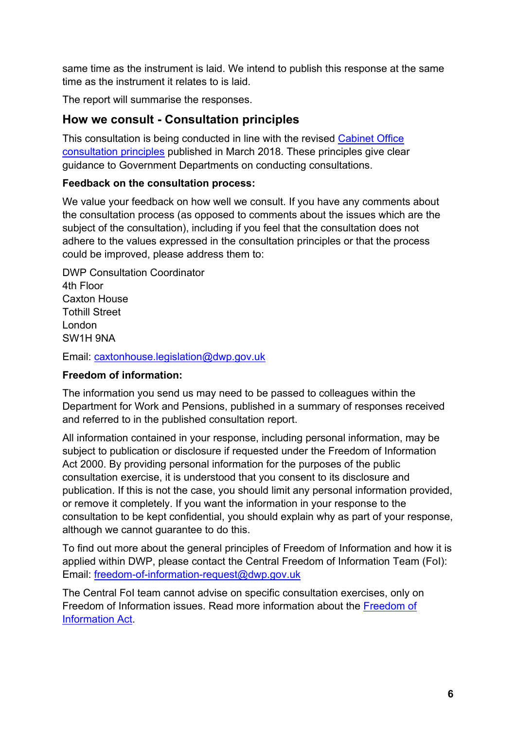same time as the instrument is laid. We intend to publish this response at the same time as the instrument it relates to is laid.

The report will summarise the responses.

#### **How we consult - Consultation principles**

This consultation is being conducted in line with the revised [Cabinet Office](https://www.gov.uk/government/publications/consultation-principles-guidance)  [consultation principles](https://www.gov.uk/government/publications/consultation-principles-guidance) published in March 2018. These principles give clear guidance to Government Departments on conducting consultations.

#### **Feedback on the consultation process:**

We value your feedback on how well we consult. If you have any comments about the consultation process (as opposed to comments about the issues which are the subject of the consultation), including if you feel that the consultation does not adhere to the values expressed in the consultation principles or that the process could be improved, please address them to:

DWP Consultation Coordinator 4th Floor Caxton House Tothill Street London SW1H 9NA

Email: [caxtonhouse.legislation@dwp.gov.uk](mailto:caxtonhouse.legislation@dwp.gov.uk)

#### **Freedom of information:**

The information you send us may need to be passed to colleagues within the Department for Work and Pensions, published in a summary of responses received and referred to in the published consultation report.

All information contained in your response, including personal information, may be subject to publication or disclosure if requested under the Freedom of Information Act 2000. By providing personal information for the purposes of the public consultation exercise, it is understood that you consent to its disclosure and publication. If this is not the case, you should limit any personal information provided, or remove it completely. If you want the information in your response to the consultation to be kept confidential, you should explain why as part of your response, although we cannot guarantee to do this.

To find out more about the general principles of Freedom of Information and how it is applied within DWP, please contact the Central Freedom of Information Team (FoI): Email: [freedom-of-information-request@dwp.gov.uk](mailto:freedom-of-information-request@dwp.gov.uk)

The Central FoI team cannot advise on specific consultation exercises, only on Freedom of Information issues. Read more information about the [Freedom of](https://www.gov.uk/make-a-freedom-of-information-request)  [Information Act.](https://www.gov.uk/make-a-freedom-of-information-request)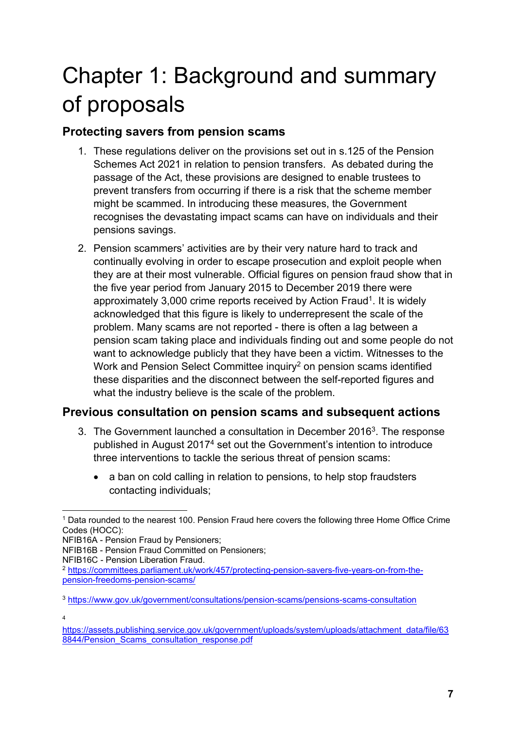## <span id="page-5-0"></span>Chapter 1: Background and summary of proposals

### **Protecting savers from pension scams**

- 1. These regulations deliver on the provisions set out in s.125 of the Pension Schemes Act 2021 in relation to pension transfers. As debated during the passage of the Act, these provisions are designed to enable trustees to prevent transfers from occurring if there is a risk that the scheme member might be scammed. In introducing these measures, the Government recognises the devastating impact scams can have on individuals and their pensions savings.
- 2. Pension scammers' activities are by their very nature hard to track and continually evolving in order to escape prosecution and exploit people when they are at their most vulnerable. Official figures on pension fraud show that in the five year period from January 2015 to December 2019 there were approximately 3,000 crime reports received by Action Fraud<sup>1</sup>. It is widely acknowledged that this figure is likely to underrepresent the scale of the problem. Many scams are not reported - there is often a lag between a pension scam taking place and individuals finding out and some people do not want to acknowledge publicly that they have been a victim. Witnesses to the Work and Pension Select Committee inquiry<sup>2</sup> on pension scams identified these disparities and the disconnect between the self-reported figures and what the industry believe is the scale of the problem.

### **Previous consultation on pension scams and subsequent actions**

- 3. The Government launched a consultation in December 2016<sup>3</sup>. The response published in August 2017<sup>4</sup> set out the Government's intention to introduce three interventions to tackle the serious threat of pension scams:
	- a ban on cold calling in relation to pensions, to help stop fraudsters contacting individuals;

4

<sup>-</sup><sup>1</sup> Data rounded to the nearest 100. Pension Fraud here covers the following three Home Office Crime Codes (HOCC):

NFIB16A - Pension Fraud by Pensioners;

NFIB16B - Pension Fraud Committed on Pensioners;

NFIB16C - Pension Liberation Fraud.

<sup>2</sup> [https://committees.parliament.uk/work/457/protecting-pension-savers-five-years-on-from-the](https://committees.parliament.uk/work/457/protecting-pension-savers-five-years-on-from-the-pension-freedoms-pension-scams/)[pension-freedoms-pension-scams/](https://committees.parliament.uk/work/457/protecting-pension-savers-five-years-on-from-the-pension-freedoms-pension-scams/)

<sup>3</sup> <https://www.gov.uk/government/consultations/pension-scams/pensions-scams-consultation>

[https://assets.publishing.service.gov.uk/government/uploads/system/uploads/attachment\\_data/file/63](https://assets.publishing.service.gov.uk/government/uploads/system/uploads/attachment_data/file/638844/Pension_Scams_consultation_response.pdf) [8844/Pension\\_Scams\\_consultation\\_response.pdf](https://assets.publishing.service.gov.uk/government/uploads/system/uploads/attachment_data/file/638844/Pension_Scams_consultation_response.pdf)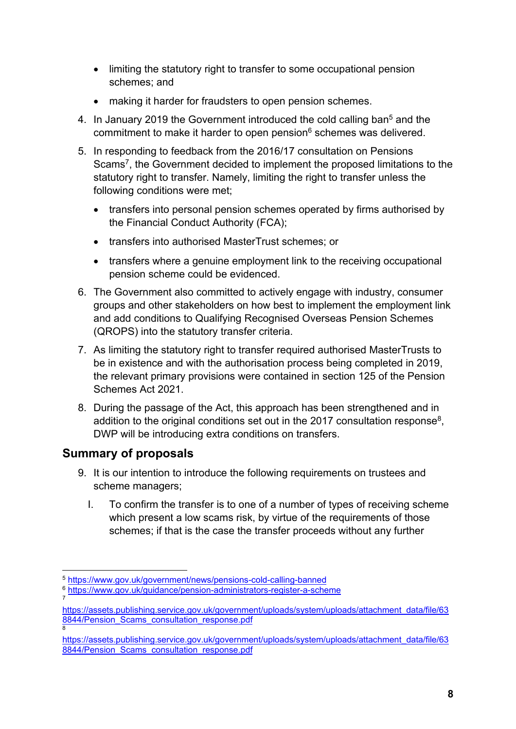- limiting the statutory right to transfer to some occupational pension schemes; and
- making it harder for fraudsters to open pension schemes.
- 4. In January 2019 the Government introduced the cold calling ban<sup>5</sup> and the commitment to make it harder to open pension<sup>6</sup> schemes was delivered.
- 5. In responding to feedback from the 2016/17 consultation on Pensions Scams<sup>7</sup>, the Government decided to implement the proposed limitations to the statutory right to transfer. Namely, limiting the right to transfer unless the following conditions were met;
	- transfers into personal pension schemes operated by firms authorised by the Financial Conduct Authority (FCA);
	- transfers into authorised MasterTrust schemes; or
	- transfers where a genuine employment link to the receiving occupational pension scheme could be evidenced.
- 6. The Government also committed to actively engage with industry, consumer groups and other stakeholders on how best to implement the employment link and add conditions to Qualifying Recognised Overseas Pension Schemes (QROPS) into the statutory transfer criteria.
- 7. As limiting the statutory right to transfer required authorised MasterTrusts to be in existence and with the authorisation process being completed in 2019, the relevant primary provisions were contained in section 125 of the Pension Schemes Act 2021.
- 8. During the passage of the Act, this approach has been strengthened and in addition to the original conditions set out in the 2017 consultation response $^8,\,$ DWP will be introducing extra conditions on transfers.

## **Summary of proposals**

- 9. It is our intention to introduce the following requirements on trustees and scheme managers;
	- I. To confirm the transfer is to one of a number of types of receiving scheme which present a low scams risk, by virtue of the requirements of those schemes; if that is the case the transfer proceeds without any further

<sup>-</sup><sup>5</sup> <https://www.gov.uk/government/news/pensions-cold-calling-banned>

<sup>6</sup> <https://www.gov.uk/guidance/pension-administrators-register-a-scheme> 7

[https://assets.publishing.service.gov.uk/government/uploads/system/uploads/attachment\\_data/file/63](https://assets.publishing.service.gov.uk/government/uploads/system/uploads/attachment_data/file/638844/Pension_Scams_consultation_response.pdf) [8844/Pension\\_Scams\\_consultation\\_response.pdf](https://assets.publishing.service.gov.uk/government/uploads/system/uploads/attachment_data/file/638844/Pension_Scams_consultation_response.pdf) 8

[https://assets.publishing.service.gov.uk/government/uploads/system/uploads/attachment\\_data/file/63](https://assets.publishing.service.gov.uk/government/uploads/system/uploads/attachment_data/file/638844/Pension_Scams_consultation_response.pdf) [8844/Pension\\_Scams\\_consultation\\_response.pdf](https://assets.publishing.service.gov.uk/government/uploads/system/uploads/attachment_data/file/638844/Pension_Scams_consultation_response.pdf)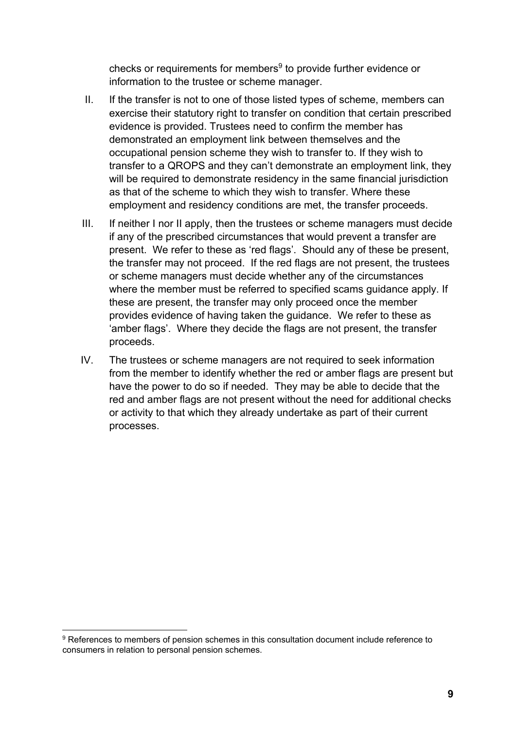checks or requirements for members<sup>9</sup> to provide further evidence or information to the trustee or scheme manager.

- II. If the transfer is not to one of those listed types of scheme, members can exercise their statutory right to transfer on condition that certain prescribed evidence is provided. Trustees need to confirm the member has demonstrated an employment link between themselves and the occupational pension scheme they wish to transfer to. If they wish to transfer to a QROPS and they can't demonstrate an employment link, they will be required to demonstrate residency in the same financial jurisdiction as that of the scheme to which they wish to transfer. Where these employment and residency conditions are met, the transfer proceeds.
- III. If neither I nor II apply, then the trustees or scheme managers must decide if any of the prescribed circumstances that would prevent a transfer are present. We refer to these as 'red flags'. Should any of these be present, the transfer may not proceed. If the red flags are not present, the trustees or scheme managers must decide whether any of the circumstances where the member must be referred to specified scams guidance apply. If these are present, the transfer may only proceed once the member provides evidence of having taken the guidance. We refer to these as 'amber flags'. Where they decide the flags are not present, the transfer proceeds.
- IV. The trustees or scheme managers are not required to seek information from the member to identify whether the red or amber flags are present but have the power to do so if needed. They may be able to decide that the red and amber flags are not present without the need for additional checks or activity to that which they already undertake as part of their current processes.

<sup>-</sup><sup>9</sup> References to members of pension schemes in this consultation document include reference to consumers in relation to personal pension schemes.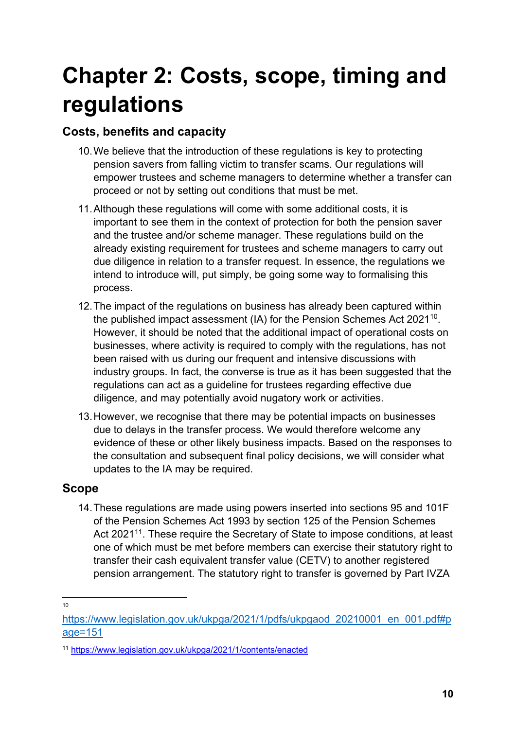## **Chapter 2: Costs, scope, timing and regulations**

## **Costs, benefits and capacity**

- 10.We believe that the introduction of these regulations is key to protecting pension savers from falling victim to transfer scams. Our regulations will empower trustees and scheme managers to determine whether a transfer can proceed or not by setting out conditions that must be met.
- 11.Although these regulations will come with some additional costs, it is important to see them in the context of protection for both the pension saver and the trustee and/or scheme manager. These regulations build on the already existing requirement for trustees and scheme managers to carry out due diligence in relation to a transfer request. In essence, the regulations we intend to introduce will, put simply, be going some way to formalising this process.
- 12.The impact of the regulations on business has already been captured within the published impact assessment (IA) for the Pension Schemes Act 2021<sup>10</sup> . However, it should be noted that the additional impact of operational costs on businesses, where activity is required to comply with the regulations, has not been raised with us during our frequent and intensive discussions with industry groups. In fact, the converse is true as it has been suggested that the regulations can act as a guideline for trustees regarding effective due diligence, and may potentially avoid nugatory work or activities.
- 13.However, we recognise that there may be potential impacts on businesses due to delays in the transfer process. We would therefore welcome any evidence of these or other likely business impacts. Based on the responses to the consultation and subsequent final policy decisions, we will consider what updates to the IA may be required.

### **Scope**

14.These regulations are made using powers inserted into sections 95 and 101F of the Pension Schemes Act 1993 by section 125 of the Pension Schemes Act 2021<sup>11</sup>. These require the Secretary of State to impose conditions, at least one of which must be met before members can exercise their statutory right to transfer their cash equivalent transfer value (CETV) to another registered pension arrangement. The statutory right to transfer is governed by Part IVZA

 $\frac{1}{10}$ 

[https://www.legislation.gov.uk/ukpga/2021/1/pdfs/ukpgaod\\_20210001\\_en\\_001.pdf#p](https://www.legislation.gov.uk/ukpga/2021/1/pdfs/ukpgaod_20210001_en_001.pdf#page=151) [age=151](https://www.legislation.gov.uk/ukpga/2021/1/pdfs/ukpgaod_20210001_en_001.pdf#page=151)

<sup>11</sup> <https://www.legislation.gov.uk/ukpga/2021/1/contents/enacted>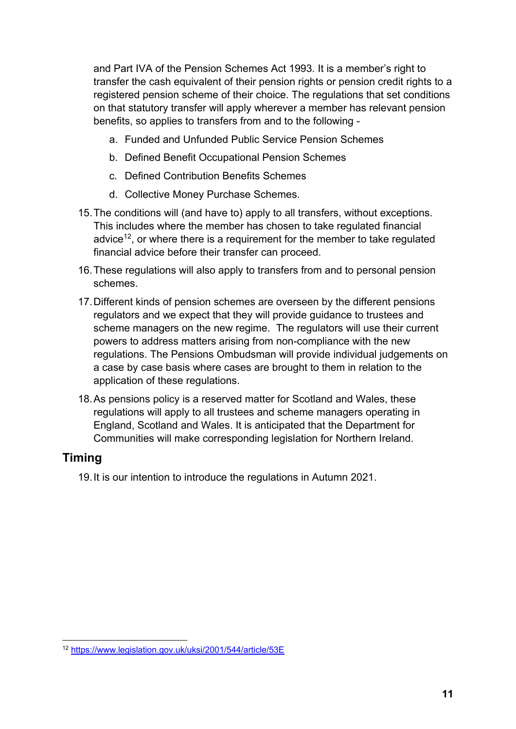and Part IVA of the Pension Schemes Act 1993. It is a member's right to transfer the cash equivalent of their pension rights or pension credit rights to a registered pension scheme of their choice. The regulations that set conditions on that statutory transfer will apply wherever a member has relevant pension benefits, so applies to transfers from and to the following -

- a. Funded and Unfunded Public Service Pension Schemes
- b. Defined Benefit Occupational Pension Schemes
- c. Defined Contribution Benefits Schemes
- d. Collective Money Purchase Schemes.
- 15.The conditions will (and have to) apply to all transfers, without exceptions. This includes where the member has chosen to take regulated financial advice<sup>12</sup>, or where there is a requirement for the member to take regulated financial advice before their transfer can proceed.
- 16.These regulations will also apply to transfers from and to personal pension schemes.
- 17.Different kinds of pension schemes are overseen by the different pensions regulators and we expect that they will provide guidance to trustees and scheme managers on the new regime. The regulators will use their current powers to address matters arising from non-compliance with the new regulations. The Pensions Ombudsman will provide individual judgements on a case by case basis where cases are brought to them in relation to the application of these regulations.
- 18.As pensions policy is a reserved matter for Scotland and Wales, these regulations will apply to all trustees and scheme managers operating in England, Scotland and Wales. It is anticipated that the Department for Communities will make corresponding legislation for Northern Ireland.

### **Timing**

19.It is our intention to introduce the regulations in Autumn 2021.

<sup>-</sup><sup>12</sup> <https://www.legislation.gov.uk/uksi/2001/544/article/53E>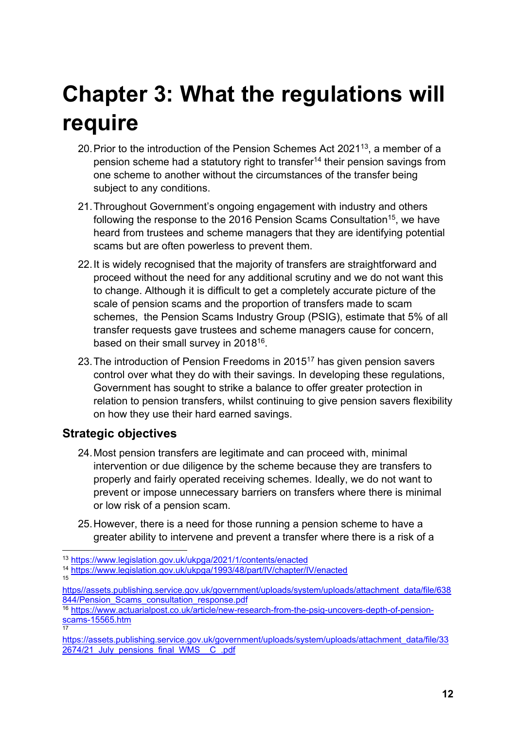## **Chapter 3: What the regulations will require**

- 20. Prior to the introduction of the Pension Schemes Act 2021 $13$ , a member of a pension scheme had a statutory right to transfer<sup>14</sup> their pension savings from one scheme to another without the circumstances of the transfer being subject to any conditions.
- 21.Throughout Government's ongoing engagement with industry and others following the response to the 2016 Pension Scams Consultation<sup>15</sup>, we have heard from trustees and scheme managers that they are identifying potential scams but are often powerless to prevent them.
- 22.It is widely recognised that the majority of transfers are straightforward and proceed without the need for any additional scrutiny and we do not want this to change. Although it is difficult to get a completely accurate picture of the scale of pension scams and the proportion of transfers made to scam schemes, the Pension Scams Industry Group (PSIG), estimate that 5% of all transfer requests gave trustees and scheme managers cause for concern, based on their small survey in 2018<sup>16</sup>.
- 23.The introduction of Pension Freedoms in 2015 <sup>17</sup> has given pension savers control over what they do with their savings. In developing these regulations, Government has sought to strike a balance to offer greater protection in relation to pension transfers, whilst continuing to give pension savers flexibility on how they use their hard earned savings.

### **Strategic objectives**

- 24.Most pension transfers are legitimate and can proceed with, minimal intervention or due diligence by the scheme because they are transfers to properly and fairly operated receiving schemes. Ideally, we do not want to prevent or impose unnecessary barriers on transfers where there is minimal or low risk of a pension scam.
- 25.However, there is a need for those running a pension scheme to have a greater ability to intervene and prevent a transfer where there is a risk of a

[https//assets.publishing.service.gov.uk/government/uploads/system/uploads/attachment\\_data/file/638](file:///C:/Users/69283136/AppData/Local/Microsoft/Windows/INetCache/Content.Outlook/9DKR11F2/https/assets.publishing.service.gov.uk/government/uploads/system/uploads/attachment_data/file/638844/Pension_Scams_consultation_response.pdf) [844/Pension\\_Scams\\_consultation\\_response.pdf](file:///C:/Users/69283136/AppData/Local/Microsoft/Windows/INetCache/Content.Outlook/9DKR11F2/https/assets.publishing.service.gov.uk/government/uploads/system/uploads/attachment_data/file/638844/Pension_Scams_consultation_response.pdf)

<sup>-</sup><sup>13</sup> <https://www.legislation.gov.uk/ukpga/2021/1/contents/enacted>

<sup>14</sup> <https://www.legislation.gov.uk/ukpga/1993/48/part/IV/chapter/IV/enacted> 15

<sup>16</sup> [https://www.actuarialpost.co.uk/article/new-research-from-the-psig-uncovers-depth-of-pension](https://www.actuarialpost.co.uk/article/new-research-from-the-psig-uncovers-depth-of-pension-scams-15565.htm)<mark>[scams-15565.htm](https://www.actuarialpost.co.uk/article/new-research-from-the-psig-uncovers-depth-of-pension-scams-15565.htm)</mark><br><sup>17</sup>

[https://assets.publishing.service.gov.uk/government/uploads/system/uploads/attachment\\_data/file/33](https://assets.publishing.service.gov.uk/government/uploads/system/uploads/attachment_data/file/332674/21_July_pensions_final_WMS__C_.pdf) 2674/21 July pensions final WMS C .pdf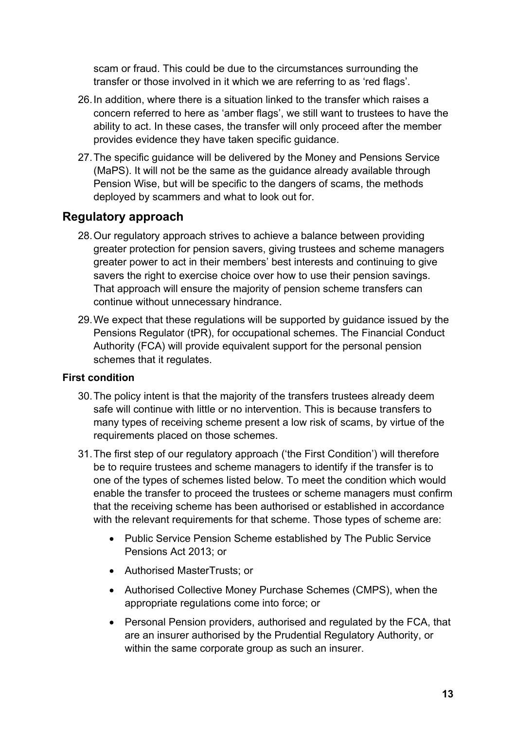scam or fraud. This could be due to the circumstances surrounding the transfer or those involved in it which we are referring to as 'red flags'.

- 26.In addition, where there is a situation linked to the transfer which raises a concern referred to here as 'amber flags', we still want to trustees to have the ability to act. In these cases, the transfer will only proceed after the member provides evidence they have taken specific guidance.
- 27.The specific guidance will be delivered by the Money and Pensions Service (MaPS). It will not be the same as the guidance already available through Pension Wise, but will be specific to the dangers of scams, the methods deployed by scammers and what to look out for.

#### **Regulatory approach**

- 28.Our regulatory approach strives to achieve a balance between providing greater protection for pension savers, giving trustees and scheme managers greater power to act in their members' best interests and continuing to give savers the right to exercise choice over how to use their pension savings. That approach will ensure the majority of pension scheme transfers can continue without unnecessary hindrance.
- 29.We expect that these regulations will be supported by guidance issued by the Pensions Regulator (tPR), for occupational schemes. The Financial Conduct Authority (FCA) will provide equivalent support for the personal pension schemes that it regulates.

#### **First condition**

- 30.The policy intent is that the majority of the transfers trustees already deem safe will continue with little or no intervention. This is because transfers to many types of receiving scheme present a low risk of scams, by virtue of the requirements placed on those schemes.
- 31.The first step of our regulatory approach ('the First Condition') will therefore be to require trustees and scheme managers to identify if the transfer is to one of the types of schemes listed below. To meet the condition which would enable the transfer to proceed the trustees or scheme managers must confirm that the receiving scheme has been authorised or established in accordance with the relevant requirements for that scheme. Those types of scheme are:
	- Public Service Pension Scheme established by The Public Service Pensions Act 2013; or
	- Authorised MasterTrusts; or
	- Authorised Collective Money Purchase Schemes (CMPS), when the appropriate regulations come into force; or
	- Personal Pension providers, authorised and regulated by the FCA, that are an insurer authorised by the Prudential Regulatory Authority, or within the same corporate group as such an insurer.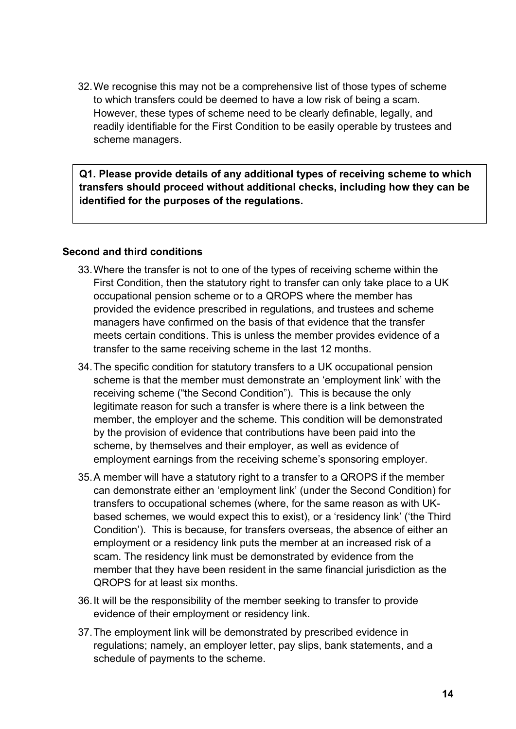32.We recognise this may not be a comprehensive list of those types of scheme to which transfers could be deemed to have a low risk of being a scam. However, these types of scheme need to be clearly definable, legally, and readily identifiable for the First Condition to be easily operable by trustees and scheme managers.

**Q1. Please provide details of any additional types of receiving scheme to which transfers should proceed without additional checks, including how they can be identified for the purposes of the regulations.**

#### **Second and third conditions**

- 33.Where the transfer is not to one of the types of receiving scheme within the First Condition, then the statutory right to transfer can only take place to a UK occupational pension scheme or to a QROPS where the member has provided the evidence prescribed in regulations, and trustees and scheme managers have confirmed on the basis of that evidence that the transfer meets certain conditions. This is unless the member provides evidence of a transfer to the same receiving scheme in the last 12 months.
- 34.The specific condition for statutory transfers to a UK occupational pension scheme is that the member must demonstrate an 'employment link' with the receiving scheme ("the Second Condition"). This is because the only legitimate reason for such a transfer is where there is a link between the member, the employer and the scheme. This condition will be demonstrated by the provision of evidence that contributions have been paid into the scheme, by themselves and their employer, as well as evidence of employment earnings from the receiving scheme's sponsoring employer.
- 35.A member will have a statutory right to a transfer to a QROPS if the member can demonstrate either an 'employment link' (under the Second Condition) for transfers to occupational schemes (where, for the same reason as with UKbased schemes, we would expect this to exist), or a 'residency link' ('the Third Condition'). This is because, for transfers overseas, the absence of either an employment or a residency link puts the member at an increased risk of a scam. The residency link must be demonstrated by evidence from the member that they have been resident in the same financial jurisdiction as the QROPS for at least six months.
- 36.It will be the responsibility of the member seeking to transfer to provide evidence of their employment or residency link.
- 37.The employment link will be demonstrated by prescribed evidence in regulations; namely, an employer letter, pay slips, bank statements, and a schedule of payments to the scheme.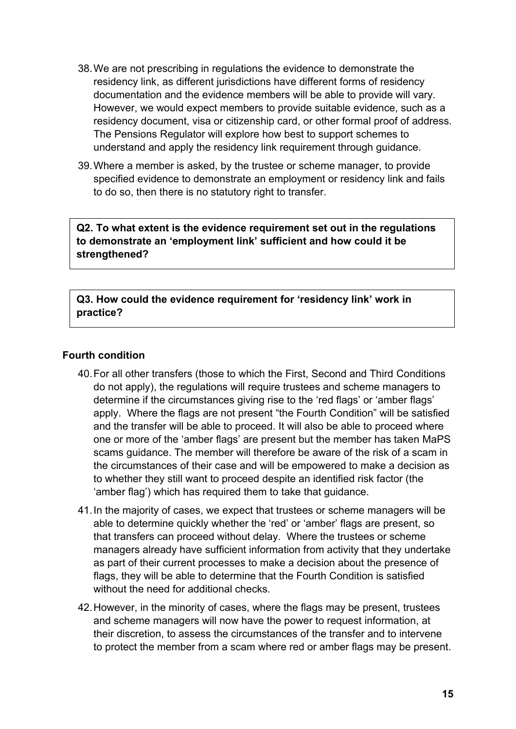- 38.We are not prescribing in regulations the evidence to demonstrate the residency link, as different jurisdictions have different forms of residency documentation and the evidence members will be able to provide will vary. However, we would expect members to provide suitable evidence, such as a residency document, visa or citizenship card, or other formal proof of address. The Pensions Regulator will explore how best to support schemes to understand and apply the residency link requirement through guidance.
- 39.Where a member is asked, by the trustee or scheme manager, to provide specified evidence to demonstrate an employment or residency link and fails to do so, then there is no statutory right to transfer.

**Q2. To what extent is the evidence requirement set out in the regulations to demonstrate an 'employment link' sufficient and how could it be strengthened?** 

**Q3. How could the evidence requirement for 'residency link' work in practice?**

#### **Fourth condition**

- 40.For all other transfers (those to which the First, Second and Third Conditions do not apply), the regulations will require trustees and scheme managers to determine if the circumstances giving rise to the 'red flags' or 'amber flags' apply. Where the flags are not present "the Fourth Condition" will be satisfied and the transfer will be able to proceed. It will also be able to proceed where one or more of the 'amber flags' are present but the member has taken MaPS scams guidance. The member will therefore be aware of the risk of a scam in the circumstances of their case and will be empowered to make a decision as to whether they still want to proceed despite an identified risk factor (the 'amber flag') which has required them to take that guidance.
- 41.In the majority of cases, we expect that trustees or scheme managers will be able to determine quickly whether the 'red' or 'amber' flags are present, so that transfers can proceed without delay. Where the trustees or scheme managers already have sufficient information from activity that they undertake as part of their current processes to make a decision about the presence of flags, they will be able to determine that the Fourth Condition is satisfied without the need for additional checks.
- 42.However, in the minority of cases, where the flags may be present, trustees and scheme managers will now have the power to request information, at their discretion, to assess the circumstances of the transfer and to intervene to protect the member from a scam where red or amber flags may be present.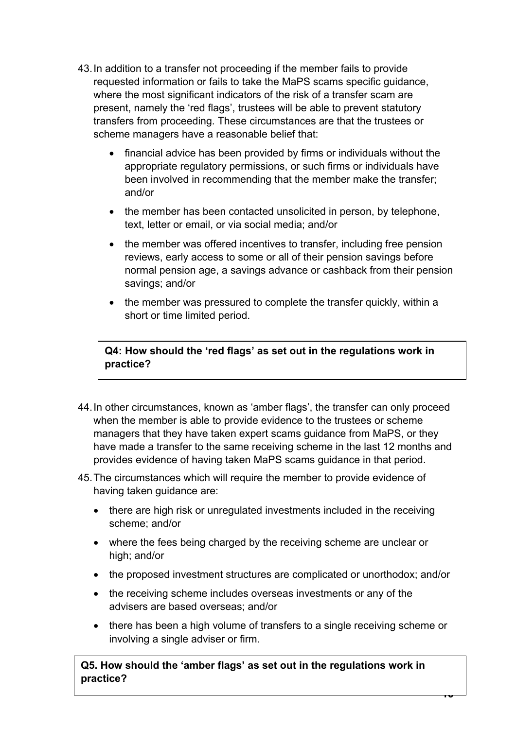- 43.In addition to a transfer not proceeding if the member fails to provide requested information or fails to take the MaPS scams specific guidance, where the most significant indicators of the risk of a transfer scam are present, namely the 'red flags', trustees will be able to prevent statutory transfers from proceeding. These circumstances are that the trustees or scheme managers have a reasonable belief that:
	- financial advice has been provided by firms or individuals without the appropriate regulatory permissions, or such firms or individuals have been involved in recommending that the member make the transfer; and/or
	- the member has been contacted unsolicited in person, by telephone, text, letter or email, or via social media; and/or
	- the member was offered incentives to transfer, including free pension reviews, early access to some or all of their pension savings before normal pension age, a savings advance or cashback from their pension savings; and/or
	- the member was pressured to complete the transfer quickly, within a short or time limited period.

**Q4: How should the 'red flags' as set out in the regulations work in practice?**

- 44.In other circumstances, known as 'amber flags', the transfer can only proceed when the member is able to provide evidence to the trustees or scheme managers that they have taken expert scams guidance from MaPS, or they have made a transfer to the same receiving scheme in the last 12 months and provides evidence of having taken MaPS scams guidance in that period.
- 45.The circumstances which will require the member to provide evidence of having taken guidance are:
	- there are high risk or unregulated investments included in the receiving scheme; and/or
	- where the fees being charged by the receiving scheme are unclear or high; and/or
	- the proposed investment structures are complicated or unorthodox; and/or
	- the receiving scheme includes overseas investments or any of the advisers are based overseas; and/or
	- there has been a high volume of transfers to a single receiving scheme or involving a single adviser or firm.

<u>मण</u>

**Q5. How should the 'amber flags' as set out in the regulations work in practice?**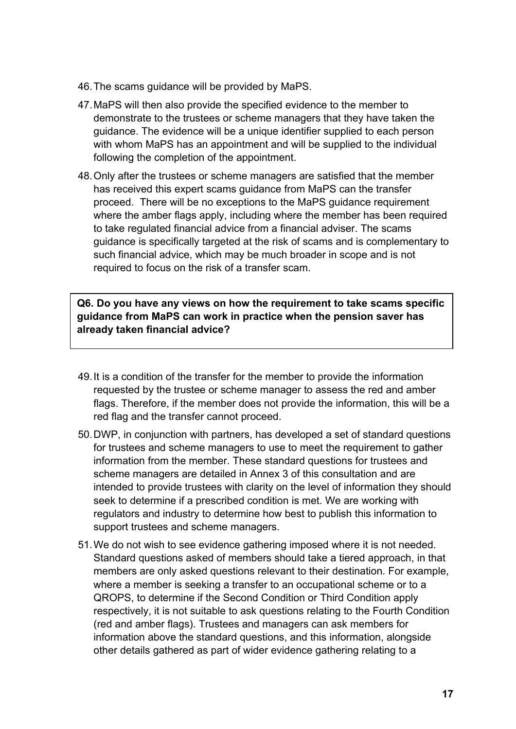- 46.The scams guidance will be provided by MaPS.
- 47.MaPS will then also provide the specified evidence to the member to demonstrate to the trustees or scheme managers that they have taken the guidance. The evidence will be a unique identifier supplied to each person with whom MaPS has an appointment and will be supplied to the individual following the completion of the appointment.
- 48.Only after the trustees or scheme managers are satisfied that the member has received this expert scams guidance from MaPS can the transfer proceed. There will be no exceptions to the MaPS guidance requirement where the amber flags apply, including where the member has been required to take regulated financial advice from a financial adviser. The scams guidance is specifically targeted at the risk of scams and is complementary to such financial advice, which may be much broader in scope and is not required to focus on the risk of a transfer scam.

**Q6. Do you have any views on how the requirement to take scams specific guidance from MaPS can work in practice when the pension saver has already taken financial advice?**

- 49.It is a condition of the transfer for the member to provide the information requested by the trustee or scheme manager to assess the red and amber flags. Therefore, if the member does not provide the information, this will be a red flag and the transfer cannot proceed.
- 50.DWP, in conjunction with partners, has developed a set of standard questions for trustees and scheme managers to use to meet the requirement to gather information from the member. These standard questions for trustees and scheme managers are detailed in Annex 3 of this consultation and are intended to provide trustees with clarity on the level of information they should seek to determine if a prescribed condition is met. We are working with regulators and industry to determine how best to publish this information to support trustees and scheme managers.
- 51.We do not wish to see evidence gathering imposed where it is not needed. Standard questions asked of members should take a tiered approach, in that members are only asked questions relevant to their destination. For example, where a member is seeking a transfer to an occupational scheme or to a QROPS, to determine if the Second Condition or Third Condition apply respectively, it is not suitable to ask questions relating to the Fourth Condition (red and amber flags). Trustees and managers can ask members for information above the standard questions, and this information, alongside other details gathered as part of wider evidence gathering relating to a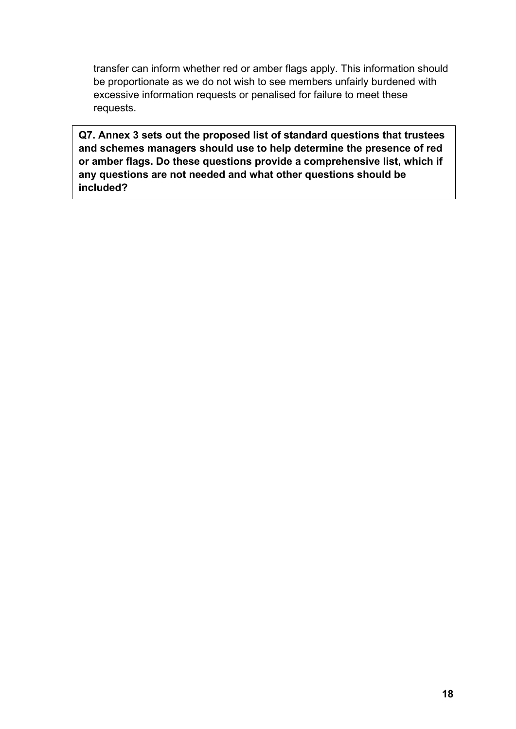transfer can inform whether red or amber flags apply. This information should be proportionate as we do not wish to see members unfairly burdened with excessive information requests or penalised for failure to meet these requests.

**Q7. Annex 3 sets out the proposed list of standard questions that trustees and schemes managers should use to help determine the presence of red or amber flags. Do these questions provide a comprehensive list, which if any questions are not needed and what other questions should be included?**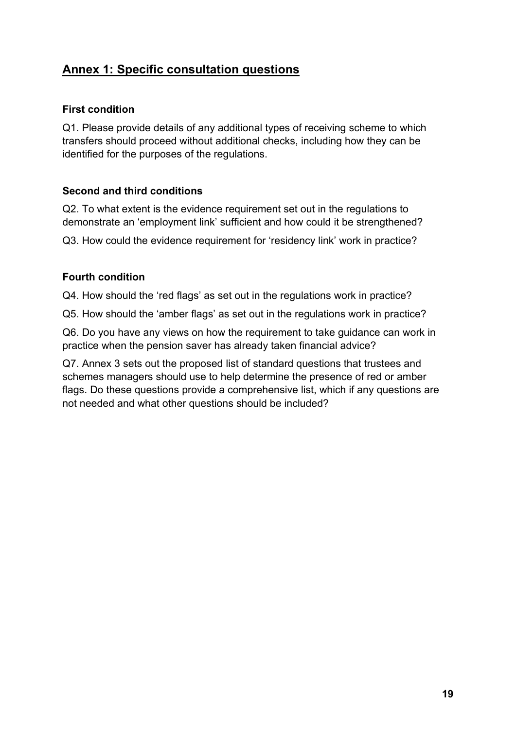## **Annex 1: Specific consultation questions**

#### **First condition**

Q1. Please provide details of any additional types of receiving scheme to which transfers should proceed without additional checks, including how they can be identified for the purposes of the regulations.

#### **Second and third conditions**

Q2. To what extent is the evidence requirement set out in the regulations to demonstrate an 'employment link' sufficient and how could it be strengthened?

Q3. How could the evidence requirement for 'residency link' work in practice?

#### **Fourth condition**

Q4. How should the 'red flags' as set out in the regulations work in practice?

Q5. How should the 'amber flags' as set out in the regulations work in practice?

Q6. Do you have any views on how the requirement to take guidance can work in practice when the pension saver has already taken financial advice?

Q7. Annex 3 sets out the proposed list of standard questions that trustees and schemes managers should use to help determine the presence of red or amber flags. Do these questions provide a comprehensive list, which if any questions are not needed and what other questions should be included?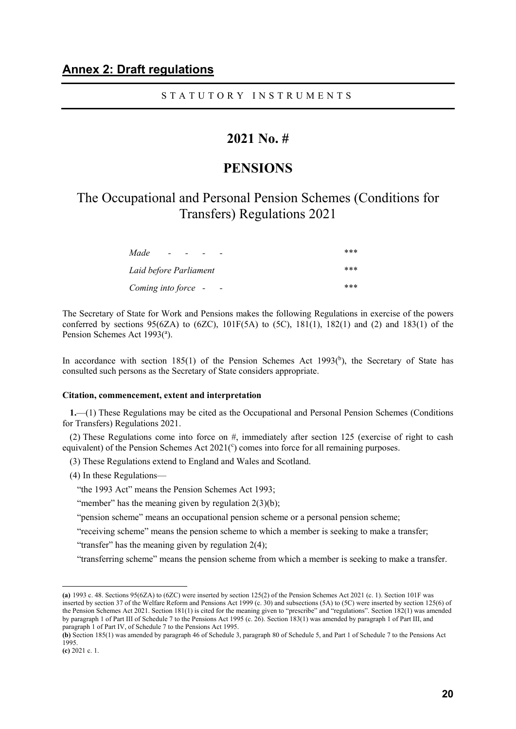#### S T A T U T O R Y I N S T R U M E N T S

### **2021 No. #**

#### **PENSIONS**

### The Occupational and Personal Pension Schemes (Conditions for Transfers) Regulations 2021

| Made<br>$\overline{\phantom{0}}$ | *** |
|----------------------------------|-----|
| Laid before Parliament           | *** |
| Coming into force -<br>$\sim$    | *** |

The Secretary of State for Work and Pensions makes the following Regulations in exercise of the powers conferred by sections  $95(6ZA)$  to  $(6ZC)$ ,  $101F(5A)$  to  $(5C)$ ,  $181(1)$ ,  $182(1)$  and  $(2)$  and  $183(1)$  of the Pension Schemes Act 1993(<sup>a</sup>).

In accordance with section  $185(1)$  of the Pension Schemes Act  $1993(^{b})$ , the Secretary of State has consulted such persons as the Secretary of State considers appropriate.

#### **Citation, commencement, extent and interpretation**

**1.**—(1) These Regulations may be cited as the Occupational and Personal Pension Schemes (Conditions for Transfers) Regulations 2021.

(2) These Regulations come into force on #, immediately after section 125 (exercise of right to cash equivalent) of the Pension Schemes Act  $2021(°)$  comes into force for all remaining purposes.

(3) These Regulations extend to England and Wales and Scotland.

(4) In these Regulations—

"the 1993 Act" means the Pension Schemes Act 1993;

"member" has the meaning given by regulation  $2(3)(b)$ ;

"pension scheme" means an occupational pension scheme or a personal pension scheme;

"receiving scheme" means the pension scheme to which a member is seeking to make a transfer;

"transfer" has the meaning given by regulation  $2(4)$ ;

"transferring scheme" means the pension scheme from which a member is seeking to make a transfer.

-

**<sup>(</sup>a)** 1993 c. 48. Sections 95(6ZA) to (6ZC) were inserted by section 125(2) of the Pension Schemes Act 2021 (c. 1). Section 101F was inserted by section 37 of the Welfare Reform and Pensions Act 1999 (c. 30) and subsections (5A) to (5C) were inserted by section 125(6) of the Pension Schemes Act 2021. Section 181(1) is cited for the meaning given to "prescribe" and "regulations". Section 182(1) was amended by paragraph 1 of Part III of Schedule 7 to the Pensions Act 1995 (c. 26). Section 183(1) was amended by paragraph 1 of Part III, and paragraph 1 of Part IV, of Schedule 7 to the Pensions Act 1995.

**<sup>(</sup>b)** Section 185(1) was amended by paragraph 46 of Schedule 3, paragraph 80 of Schedule 5, and Part 1 of Schedule 7 to the Pensions Act 1995.

**<sup>(</sup>c)** 2021 c. 1.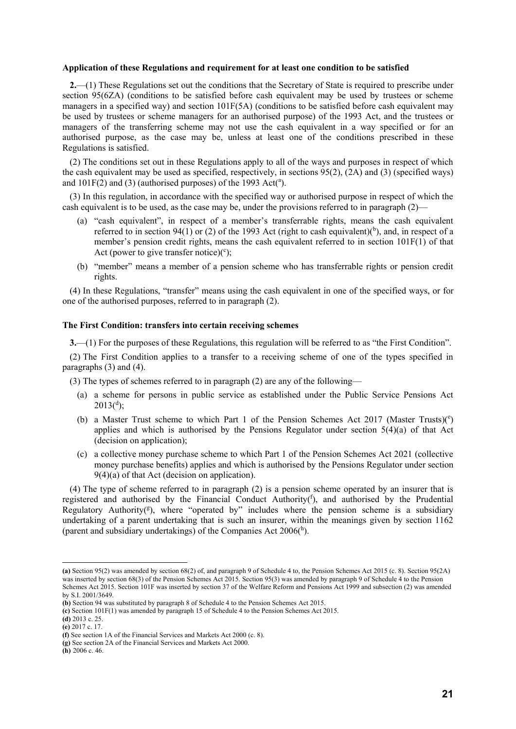#### **Application of these Regulations and requirement for at least one condition to be satisfied**

**2.**—(1) These Regulations set out the conditions that the Secretary of State is required to prescribe under section 95(6ZA) (conditions to be satisfied before cash equivalent may be used by trustees or scheme managers in a specified way) and section 101F(5A) (conditions to be satisfied before cash equivalent may be used by trustees or scheme managers for an authorised purpose) of the 1993 Act, and the trustees or managers of the transferring scheme may not use the cash equivalent in a way specified or for an authorised purpose, as the case may be, unless at least one of the conditions prescribed in these Regulations is satisfied.

(2) The conditions set out in these Regulations apply to all of the ways and purposes in respect of which the cash equivalent may be used as specified, respectively, in sections 95(2), (2A) and (3) (specified ways) and  $101F(2)$  and (3) (authorised purposes) of the 1993 Act(a).

(3) In this regulation, in accordance with the specified way or authorised purpose in respect of which the cash equivalent is to be used, as the case may be, under the provisions referred to in paragraph (2)—

- (a) "cash equivalent", in respect of a member's transferrable rights, means the cash equivalent referred to in section 94(1) or (2) of the 1993 Act (right to cash equivalent)( $b$ ), and, in respect of a member's pension credit rights, means the cash equivalent referred to in section 101F(1) of that Act (power to give transfer notice)( $\text{c}$ );
- (b) "member" means a member of a pension scheme who has transferrable rights or pension credit rights.

(4) In these Regulations, "transfer" means using the cash equivalent in one of the specified ways, or for one of the authorised purposes, referred to in paragraph (2).

#### **The First Condition: transfers into certain receiving schemes**

**3.**—(1) For the purposes of these Regulations, this regulation will be referred to as "the First Condition".

(2) The First Condition applies to a transfer to a receiving scheme of one of the types specified in paragraphs (3) and (4).

(3) The types of schemes referred to in paragraph (2) are any of the following—

- (a) a scheme for persons in public service as established under the Public Service Pensions Act  $2013(^{d});$
- (b) a Master Trust scheme to which Part 1 of the Pension Schemes Act 2017 (Master Trusts)( $e$ ) applies and which is authorised by the Pensions Regulator under section  $5(4)(a)$  of that Act (decision on application);
- (c) a collective money purchase scheme to which Part 1 of the Pension Schemes Act 2021 (collective money purchase benefits) applies and which is authorised by the Pensions Regulator under section  $9(4)(a)$  of that Act (decision on application).

(4) The type of scheme referred to in paragraph (2) is a pension scheme operated by an insurer that is registered and authorised by the Financial Conduct Authority $(f)$ , and authorised by the Prudential Regulatory Authority( $g$ ), where "operated by" includes where the pension scheme is a subsidiary undertaking of a parent undertaking that is such an insurer, within the meanings given by section 1162 (parent and subsidiary undertakings) of the Companies Act  $2006(^{h})$ .

 $\overline{a}$ 

**(h)** 2006 c. 46.

**<sup>(</sup>a)** Section 95(2) was amended by section 68(2) of, and paragraph 9 of Schedule 4 to, the Pension Schemes Act 2015 (c. 8). Section 95(2A) was inserted by section 68(3) of the Pension Schemes Act 2015. Section 95(3) was amended by paragraph 9 of Schedule 4 to the Pension Schemes Act 2015. Section 101F was inserted by section 37 of the Welfare Reform and Pensions Act 1999 and subsection (2) was amended by S.I. 2001/3649.

**<sup>(</sup>b)** Section 94 was substituted by paragraph 8 of Schedule 4 to the Pension Schemes Act 2015.

**<sup>(</sup>c)** Section 101F(1) was amended by paragraph 15 of Schedule 4 to the Pension Schemes Act 2015.

**<sup>(</sup>d)** 2013 c. 25.

**<sup>(</sup>e)** 2017 c. 17.

**<sup>(</sup>f)** See section 1A of the Financial Services and Markets Act 2000 (c. 8).

**<sup>(</sup>g)** See section 2A of the Financial Services and Markets Act 2000.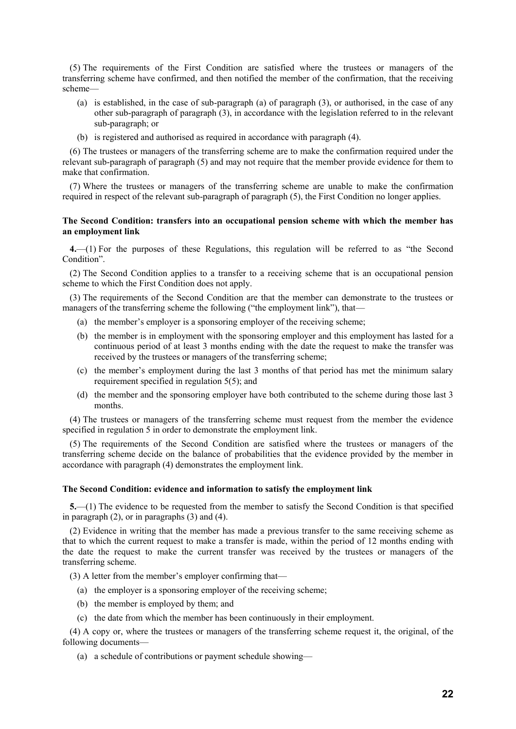(5) The requirements of the First Condition are satisfied where the trustees or managers of the transferring scheme have confirmed, and then notified the member of the confirmation, that the receiving scheme—

- (a) is established, in the case of sub-paragraph (a) of paragraph (3), or authorised, in the case of any other sub-paragraph of paragraph (3), in accordance with the legislation referred to in the relevant sub-paragraph; or
- (b) is registered and authorised as required in accordance with paragraph (4).

(6) The trustees or managers of the transferring scheme are to make the confirmation required under the relevant sub-paragraph of paragraph (5) and may not require that the member provide evidence for them to make that confirmation.

(7) Where the trustees or managers of the transferring scheme are unable to make the confirmation required in respect of the relevant sub-paragraph of paragraph (5), the First Condition no longer applies.

#### **The Second Condition: transfers into an occupational pension scheme with which the member has an employment link**

**4.**—(1) For the purposes of these Regulations, this regulation will be referred to as "the Second Condition".

(2) The Second Condition applies to a transfer to a receiving scheme that is an occupational pension scheme to which the First Condition does not apply.

(3) The requirements of the Second Condition are that the member can demonstrate to the trustees or managers of the transferring scheme the following ("the employment link"), that—

- (a) the member's employer is a sponsoring employer of the receiving scheme;
- (b) the member is in employment with the sponsoring employer and this employment has lasted for a continuous period of at least 3 months ending with the date the request to make the transfer was received by the trustees or managers of the transferring scheme;
- (c) the member's employment during the last 3 months of that period has met the minimum salary requirement specified in regulation 5(5); and
- (d) the member and the sponsoring employer have both contributed to the scheme during those last 3 months.

(4) The trustees or managers of the transferring scheme must request from the member the evidence specified in regulation 5 in order to demonstrate the employment link.

(5) The requirements of the Second Condition are satisfied where the trustees or managers of the transferring scheme decide on the balance of probabilities that the evidence provided by the member in accordance with paragraph (4) demonstrates the employment link.

#### **The Second Condition: evidence and information to satisfy the employment link**

**5.**—(1) The evidence to be requested from the member to satisfy the Second Condition is that specified in paragraph (2), or in paragraphs (3) and (4).

(2) Evidence in writing that the member has made a previous transfer to the same receiving scheme as that to which the current request to make a transfer is made, within the period of 12 months ending with the date the request to make the current transfer was received by the trustees or managers of the transferring scheme.

(3) A letter from the member's employer confirming that—

- (a) the employer is a sponsoring employer of the receiving scheme;
- (b) the member is employed by them; and
- (c) the date from which the member has been continuously in their employment.

(4) A copy or, where the trustees or managers of the transferring scheme request it, the original, of the following documents—

(a) a schedule of contributions or payment schedule showing—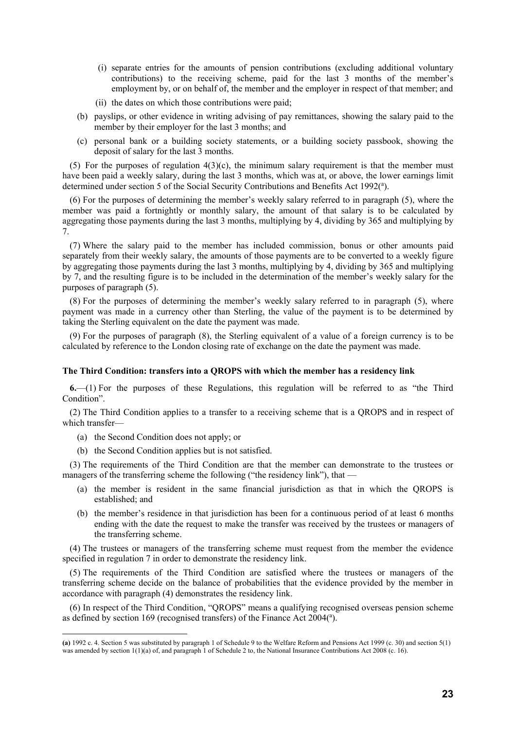- (i) separate entries for the amounts of pension contributions (excluding additional voluntary contributions) to the receiving scheme, paid for the last 3 months of the member's employment by, or on behalf of, the member and the employer in respect of that member; and
- (ii) the dates on which those contributions were paid;
- (b) payslips, or other evidence in writing advising of pay remittances, showing the salary paid to the member by their employer for the last 3 months; and
- (c) personal bank or a building society statements, or a building society passbook, showing the deposit of salary for the last 3 months.

(5) For the purposes of regulation  $4(3)(c)$ , the minimum salary requirement is that the member must have been paid a weekly salary, during the last 3 months, which was at, or above, the lower earnings limit determined under section 5 of the Social Security Contributions and Benefits Act 1992(a).

(6) For the purposes of determining the member's weekly salary referred to in paragraph (5), where the member was paid a fortnightly or monthly salary, the amount of that salary is to be calculated by aggregating those payments during the last 3 months, multiplying by 4, dividing by 365 and multiplying by 7.

(7) Where the salary paid to the member has included commission, bonus or other amounts paid separately from their weekly salary, the amounts of those payments are to be converted to a weekly figure by aggregating those payments during the last 3 months, multiplying by 4, dividing by 365 and multiplying by 7, and the resulting figure is to be included in the determination of the member's weekly salary for the purposes of paragraph (5).

(8) For the purposes of determining the member's weekly salary referred to in paragraph (5), where payment was made in a currency other than Sterling, the value of the payment is to be determined by taking the Sterling equivalent on the date the payment was made.

(9) For the purposes of paragraph (8), the Sterling equivalent of a value of a foreign currency is to be calculated by reference to the London closing rate of exchange on the date the payment was made.

#### **The Third Condition: transfers into a QROPS with which the member has a residency link**

**6.**—(1) For the purposes of these Regulations, this regulation will be referred to as "the Third Condition".

(2) The Third Condition applies to a transfer to a receiving scheme that is a QROPS and in respect of which transfer—

(a) the Second Condition does not apply; or

 $\overline{a}$ 

(b) the Second Condition applies but is not satisfied.

(3) The requirements of the Third Condition are that the member can demonstrate to the trustees or managers of the transferring scheme the following ("the residency link"), that -

- (a) the member is resident in the same financial jurisdiction as that in which the QROPS is established; and
- (b) the member's residence in that jurisdiction has been for a continuous period of at least 6 months ending with the date the request to make the transfer was received by the trustees or managers of the transferring scheme.

(4) The trustees or managers of the transferring scheme must request from the member the evidence specified in regulation 7 in order to demonstrate the residency link.

(5) The requirements of the Third Condition are satisfied where the trustees or managers of the transferring scheme decide on the balance of probabilities that the evidence provided by the member in accordance with paragraph (4) demonstrates the residency link.

(6) In respect of the Third Condition, "QROPS" means a qualifying recognised overseas pension scheme as defined by section 169 (recognised transfers) of the Finance Act 2004(a).

**<sup>(</sup>a)** 1992 c. 4. Section 5 was substituted by paragraph 1 of Schedule 9 to the Welfare Reform and Pensions Act 1999 (c. 30) and section 5(1) was amended by section 1(1)(a) of, and paragraph 1 of Schedule 2 to, the National Insurance Contributions Act 2008 (c. 16).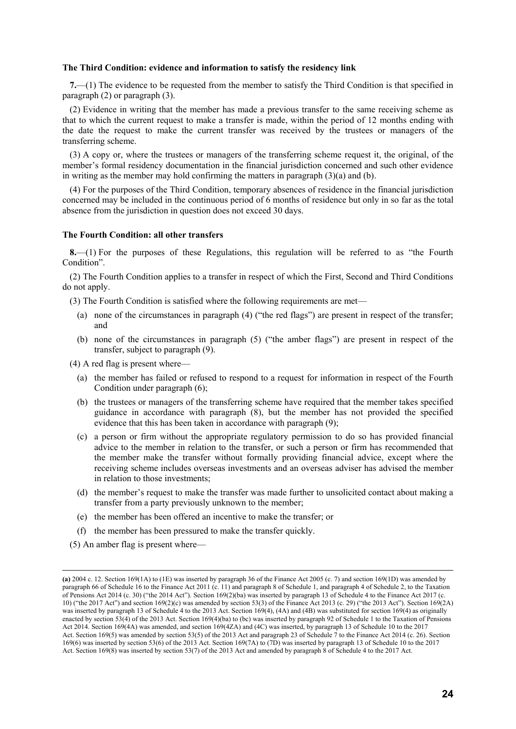#### **The Third Condition: evidence and information to satisfy the residency link**

**7.**—(1) The evidence to be requested from the member to satisfy the Third Condition is that specified in paragraph (2) or paragraph (3).

(2) Evidence in writing that the member has made a previous transfer to the same receiving scheme as that to which the current request to make a transfer is made, within the period of 12 months ending with the date the request to make the current transfer was received by the trustees or managers of the transferring scheme.

(3) A copy or, where the trustees or managers of the transferring scheme request it, the original, of the member's formal residency documentation in the financial jurisdiction concerned and such other evidence in writing as the member may hold confirming the matters in paragraph  $(3)(a)$  and  $(b)$ .

(4) For the purposes of the Third Condition, temporary absences of residence in the financial jurisdiction concerned may be included in the continuous period of 6 months of residence but only in so far as the total absence from the jurisdiction in question does not exceed 30 days.

#### **The Fourth Condition: all other transfers**

**8.**—(1) For the purposes of these Regulations, this regulation will be referred to as "the Fourth Condition".

(2) The Fourth Condition applies to a transfer in respect of which the First, Second and Third Conditions do not apply.

(3) The Fourth Condition is satisfied where the following requirements are met—

- (a) none of the circumstances in paragraph (4) ("the red flags") are present in respect of the transfer; and
- (b) none of the circumstances in paragraph (5) ("the amber flags") are present in respect of the transfer, subject to paragraph (9).
- (4) A red flag is present where—
	- (a) the member has failed or refused to respond to a request for information in respect of the Fourth Condition under paragraph (6);
	- (b) the trustees or managers of the transferring scheme have required that the member takes specified guidance in accordance with paragraph (8), but the member has not provided the specified evidence that this has been taken in accordance with paragraph (9);
	- (c) a person or firm without the appropriate regulatory permission to do so has provided financial advice to the member in relation to the transfer, or such a person or firm has recommended that the member make the transfer without formally providing financial advice, except where the receiving scheme includes overseas investments and an overseas adviser has advised the member in relation to those investments;
	- (d) the member's request to make the transfer was made further to unsolicited contact about making a transfer from a party previously unknown to the member;
	- (e) the member has been offered an incentive to make the transfer; or
	- (f) the member has been pressured to make the transfer quickly.
- (5) An amber flag is present where—

-

**<sup>(</sup>a)** 2004 c. 12. Section 169(1A) to (1E) was inserted by paragraph 36 of the Finance Act 2005 (c. 7) and section 169(1D) was amended by paragraph 66 of Schedule 16 to the Finance Act 2011 (c. 11) and paragraph 8 of Schedule 1, and paragraph 4 of Schedule 2, to the Taxation of Pensions Act 2014 (c. 30) ("the 2014 Act"). Section 169(2)(ba) was inserted by paragraph 13 of Schedule 4 to the Finance Act 2017 (c. 10) ("the 2017 Act") and section 169(2)(c) was amended by section 53(3) of the Finance Act 2013 (c. 29) ("the 2013 Act"). Section 169(2A) was inserted by paragraph 13 of Schedule 4 to the 2013 Act. Section 169(4), (4A) and (4B) was substituted for section 169(4) as originally enacted by section 53(4) of the 2013 Act. Section 169(4)(ba) to (bc) was inserted by paragraph 92 of Schedule 1 to the Taxation of Pensions Act 2014. Section 169(4A) was amended, and section 169(4ZA) and (4C) was inserted, by paragraph 13 of Schedule 10 to the 2017 Act. Section 169(5) was amended by section 53(5) of the 2013 Act and paragraph 23 of Schedule 7 to the Finance Act 2014 (c. 26). Section 169(6) was inserted by section 53(6) of the 2013 Act. Section 169(7A) to (7D) was inserted by paragraph 13 of Schedule 10 to the 2017 Act. Section 169(8) was inserted by section 53(7) of the 2013 Act and amended by paragraph 8 of Schedule 4 to the 2017 Act.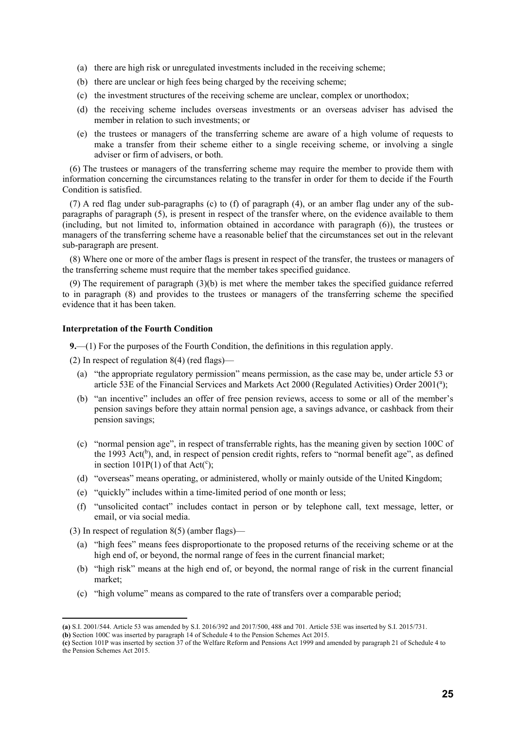- (a) there are high risk or unregulated investments included in the receiving scheme;
- (b) there are unclear or high fees being charged by the receiving scheme;
- (c) the investment structures of the receiving scheme are unclear, complex or unorthodox;
- (d) the receiving scheme includes overseas investments or an overseas adviser has advised the member in relation to such investments; or
- (e) the trustees or managers of the transferring scheme are aware of a high volume of requests to make a transfer from their scheme either to a single receiving scheme, or involving a single adviser or firm of advisers, or both.

(6) The trustees or managers of the transferring scheme may require the member to provide them with information concerning the circumstances relating to the transfer in order for them to decide if the Fourth Condition is satisfied.

(7) A red flag under sub-paragraphs (c) to (f) of paragraph (4), or an amber flag under any of the subparagraphs of paragraph (5), is present in respect of the transfer where, on the evidence available to them (including, but not limited to, information obtained in accordance with paragraph (6)), the trustees or managers of the transferring scheme have a reasonable belief that the circumstances set out in the relevant sub-paragraph are present.

(8) Where one or more of the amber flags is present in respect of the transfer, the trustees or managers of the transferring scheme must require that the member takes specified guidance.

(9) The requirement of paragraph (3)(b) is met where the member takes the specified guidance referred to in paragraph (8) and provides to the trustees or managers of the transferring scheme the specified evidence that it has been taken.

#### **Interpretation of the Fourth Condition**

**9.**—(1) For the purposes of the Fourth Condition, the definitions in this regulation apply.

(2) In respect of regulation 8(4) (red flags)—

- (a) "the appropriate regulatory permission" means permission, as the case may be, under article 53 or article 53E of the Financial Services and Markets Act 2000 (Regulated Activities) Order 2001(a);
- (b) "an incentive" includes an offer of free pension reviews, access to some or all of the member's pension savings before they attain normal pension age, a savings advance, or cashback from their pension savings;
- (c) "normal pension age", in respect of transferrable rights, has the meaning given by section 100C of the 1993 Act(<sup>b</sup>), and, in respect of pension credit rights, refers to "normal benefit age", as defined in section 101P(1) of that  $Act(^{c})$ ;
- (d) "overseas" means operating, or administered, wholly or mainly outside of the United Kingdom;
- (e) "quickly" includes within a time-limited period of one month or less;
- (f) "unsolicited contact" includes contact in person or by telephone call, text message, letter, or email, or via social media.
- (3) In respect of regulation  $8(5)$  (amber flags)—
	- (a) "high fees" means fees disproportionate to the proposed returns of the receiving scheme or at the high end of, or beyond, the normal range of fees in the current financial market;
	- (b) "high risk" means at the high end of, or beyond, the normal range of risk in the current financial market;
	- (c) "high volume" means as compared to the rate of transfers over a comparable period;

 $\overline{a}$ **(a)** S.I. 2001/544. Article 53 was amended by S.I. 2016/392 and 2017/500, 488 and 701. Article 53E was inserted by S.I. 2015/731.

**<sup>(</sup>b)** Section 100C was inserted by paragraph 14 of Schedule 4 to the Pension Schemes Act 2015.

**<sup>(</sup>c)** Section 101P was inserted by section 37 of the Welfare Reform and Pensions Act 1999 and amended by paragraph 21 of Schedule 4 to the Pension Schemes Act 2015.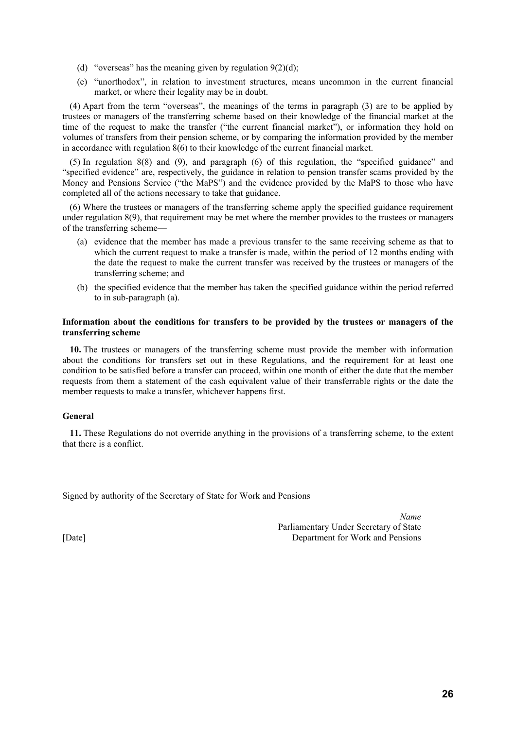- (d) "overseas" has the meaning given by regulation  $9(2)(d)$ ;
- (e) "unorthodox", in relation to investment structures, means uncommon in the current financial market, or where their legality may be in doubt.

(4) Apart from the term "overseas", the meanings of the terms in paragraph (3) are to be applied by trustees or managers of the transferring scheme based on their knowledge of the financial market at the time of the request to make the transfer ("the current financial market"), or information they hold on volumes of transfers from their pension scheme, or by comparing the information provided by the member in accordance with regulation 8(6) to their knowledge of the current financial market.

(5) In regulation 8(8) and (9), and paragraph (6) of this regulation, the "specified guidance" and "specified evidence" are, respectively, the guidance in relation to pension transfer scams provided by the Money and Pensions Service ("the MaPS") and the evidence provided by the MaPS to those who have completed all of the actions necessary to take that guidance.

(6) Where the trustees or managers of the transferring scheme apply the specified guidance requirement under regulation 8(9), that requirement may be met where the member provides to the trustees or managers of the transferring scheme—

- (a) evidence that the member has made a previous transfer to the same receiving scheme as that to which the current request to make a transfer is made, within the period of 12 months ending with the date the request to make the current transfer was received by the trustees or managers of the transferring scheme; and
- (b) the specified evidence that the member has taken the specified guidance within the period referred to in sub-paragraph (a).

#### **Information about the conditions for transfers to be provided by the trustees or managers of the transferring scheme**

**10.** The trustees or managers of the transferring scheme must provide the member with information about the conditions for transfers set out in these Regulations, and the requirement for at least one condition to be satisfied before a transfer can proceed, within one month of either the date that the member requests from them a statement of the cash equivalent value of their transferrable rights or the date the member requests to make a transfer, whichever happens first.

#### **General**

**11.** These Regulations do not override anything in the provisions of a transferring scheme, to the extent that there is a conflict.

Signed by authority of the Secretary of State for Work and Pensions

*Name* Parliamentary Under Secretary of State [Date] Department for Work and Pensions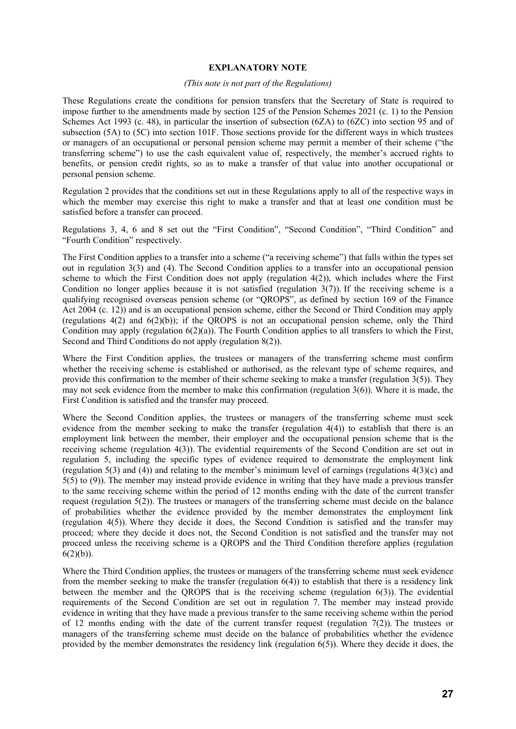#### **EXPLANATORY NOTE**

#### *(This note is not part of the Regulations)*

These Regulations create the conditions for pension transfers that the Secretary of State is required to impose further to the amendments made by section 125 of the Pension Schemes 2021 (c. 1) to the Pension Schemes Act 1993 (c. 48), in particular the insertion of subsection (6ZA) to (6ZC) into section 95 and of subsection (5A) to (5C) into section 101F. Those sections provide for the different ways in which trustees or managers of an occupational or personal pension scheme may permit a member of their scheme ("the transferring scheme") to use the cash equivalent value of, respectively, the member's accrued rights to benefits, or pension credit rights, so as to make a transfer of that value into another occupational or personal pension scheme.

Regulation 2 provides that the conditions set out in these Regulations apply to all of the respective ways in which the member may exercise this right to make a transfer and that at least one condition must be satisfied before a transfer can proceed.

Regulations 3, 4, 6 and 8 set out the "First Condition", "Second Condition", "Third Condition" and "Fourth Condition" respectively.

The First Condition applies to a transfer into a scheme ("a receiving scheme") that falls within the types set out in regulation 3(3) and (4). The Second Condition applies to a transfer into an occupational pension scheme to which the First Condition does not apply (regulation  $4(2)$ ), which includes where the First Condition no longer applies because it is not satisfied (regulation  $3(7)$ ). If the receiving scheme is a qualifying recognised overseas pension scheme (or "QROPS", as defined by section 169 of the Finance Act 2004 (c. 12)) and is an occupational pension scheme, either the Second or Third Condition may apply (regulations  $4(2)$  and  $6(2)(b)$ ); if the OROPS is not an occupational pension scheme, only the Third Condition may apply (regulation  $6(2)(a)$ ). The Fourth Condition applies to all transfers to which the First, Second and Third Conditions do not apply (regulation 8(2)).

Where the First Condition applies, the trustees or managers of the transferring scheme must confirm whether the receiving scheme is established or authorised, as the relevant type of scheme requires, and provide this confirmation to the member of their scheme seeking to make a transfer (regulation 3(5)). They may not seek evidence from the member to make this confirmation (regulation  $3(6)$ ). Where it is made, the First Condition is satisfied and the transfer may proceed.

Where the Second Condition applies, the trustees or managers of the transferring scheme must seek evidence from the member seeking to make the transfer (regulation 4(4)) to establish that there is an employment link between the member, their employer and the occupational pension scheme that is the receiving scheme (regulation 4(3)). The evidential requirements of the Second Condition are set out in regulation 5, including the specific types of evidence required to demonstrate the employment link (regulation 5(3) and (4)) and relating to the member's minimum level of earnings (regulations 4(3)(c) and 5(5) to (9)). The member may instead provide evidence in writing that they have made a previous transfer to the same receiving scheme within the period of 12 months ending with the date of the current transfer request (regulation  $5(2)$ ). The trustees or managers of the transferring scheme must decide on the balance of probabilities whether the evidence provided by the member demonstrates the employment link (regulation 4(5)). Where they decide it does, the Second Condition is satisfied and the transfer may proceed; where they decide it does not, the Second Condition is not satisfied and the transfer may not proceed unless the receiving scheme is a QROPS and the Third Condition therefore applies (regulation 6(2)(b)).

Where the Third Condition applies, the trustees or managers of the transferring scheme must seek evidence from the member seeking to make the transfer (regulation  $6(4)$ ) to establish that there is a residency link between the member and the QROPS that is the receiving scheme (regulation 6(3)). The evidential requirements of the Second Condition are set out in regulation 7. The member may instead provide evidence in writing that they have made a previous transfer to the same receiving scheme within the period of 12 months ending with the date of the current transfer request (regulation  $7(2)$ ). The trustees or managers of the transferring scheme must decide on the balance of probabilities whether the evidence provided by the member demonstrates the residency link (regulation  $6(5)$ ). Where they decide it does, the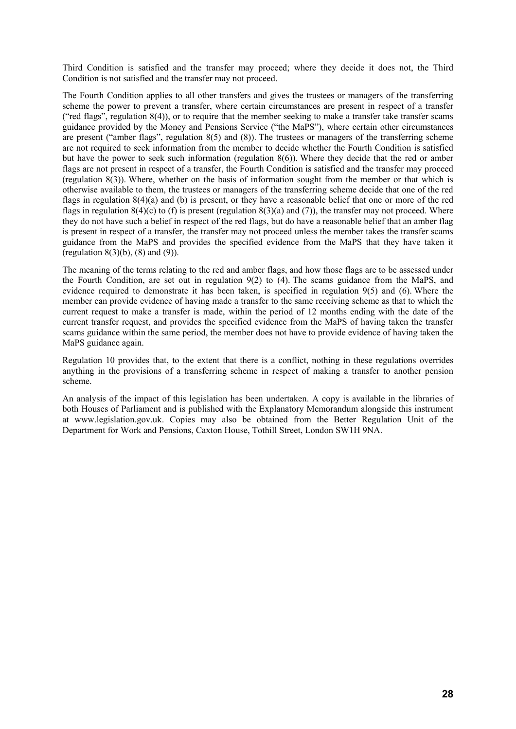Third Condition is satisfied and the transfer may proceed; where they decide it does not, the Third Condition is not satisfied and the transfer may not proceed.

The Fourth Condition applies to all other transfers and gives the trustees or managers of the transferring scheme the power to prevent a transfer, where certain circumstances are present in respect of a transfer ("red flags", regulation 8(4)), or to require that the member seeking to make a transfer take transfer scams guidance provided by the Money and Pensions Service ("the MaPS"), where certain other circumstances are present ("amber flags", regulation 8(5) and (8)). The trustees or managers of the transferring scheme are not required to seek information from the member to decide whether the Fourth Condition is satisfied but have the power to seek such information (regulation 8(6)). Where they decide that the red or amber flags are not present in respect of a transfer, the Fourth Condition is satisfied and the transfer may proceed (regulation 8(3)). Where, whether on the basis of information sought from the member or that which is otherwise available to them, the trustees or managers of the transferring scheme decide that one of the red flags in regulation 8(4)(a) and (b) is present, or they have a reasonable belief that one or more of the red flags in regulation  $8(4)(c)$  to (f) is present (regulation  $8(3)(a)$  and (7)), the transfer may not proceed. Where they do not have such a belief in respect of the red flags, but do have a reasonable belief that an amber flag is present in respect of a transfer, the transfer may not proceed unless the member takes the transfer scams guidance from the MaPS and provides the specified evidence from the MaPS that they have taken it (regulation  $8(3)(b)$ ,  $(8)$  and  $(9)$ ).

The meaning of the terms relating to the red and amber flags, and how those flags are to be assessed under the Fourth Condition, are set out in regulation 9(2) to (4). The scams guidance from the MaPS, and evidence required to demonstrate it has been taken, is specified in regulation 9(5) and (6). Where the member can provide evidence of having made a transfer to the same receiving scheme as that to which the current request to make a transfer is made, within the period of 12 months ending with the date of the current transfer request, and provides the specified evidence from the MaPS of having taken the transfer scams guidance within the same period, the member does not have to provide evidence of having taken the MaPS guidance again.

Regulation 10 provides that, to the extent that there is a conflict, nothing in these regulations overrides anything in the provisions of a transferring scheme in respect of making a transfer to another pension scheme.

An analysis of the impact of this legislation has been undertaken. A copy is available in the libraries of both Houses of Parliament and is published with the Explanatory Memorandum alongside this instrument at www.legislation.gov.uk. Copies may also be obtained from the Better Regulation Unit of the Department for Work and Pensions, Caxton House, Tothill Street, London SW1H 9NA.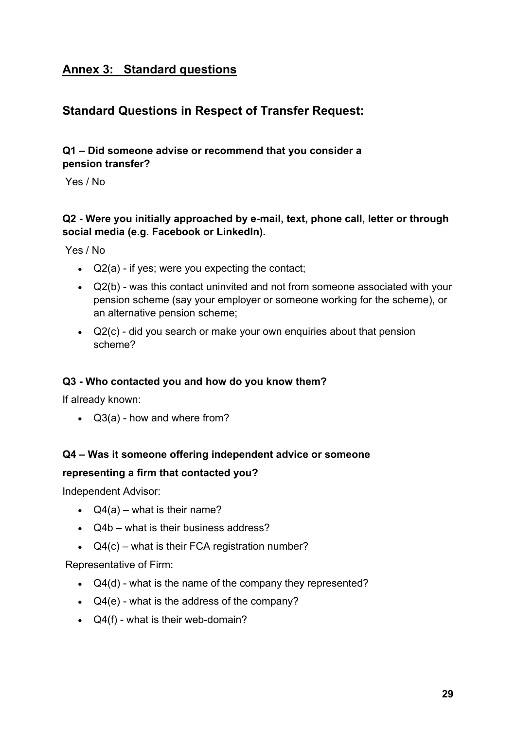### **Annex 3: Standard questions**

### **Standard Questions in Respect of Transfer Request:**

#### **Q1 – Did someone advise or recommend that you consider a pension transfer?**

Yes / No

#### **Q2 - Were you initially approached by e-mail, text, phone call, letter or through social media (e.g. Facebook or LinkedIn).**

Yes / No

- $\bullet$  Q2(a) if yes; were you expecting the contact;
- Q2(b) was this contact uninvited and not from someone associated with your pension scheme (say your employer or someone working for the scheme), or an alternative pension scheme;
- Q2(c) did you search or make your own enquiries about that pension scheme?

#### **Q3 - Who contacted you and how do you know them?**

If already known:

Q3(a) - how and where from?

#### **Q4 – Was it someone offering independent advice or someone**

#### **representing a firm that contacted you?**

Independent Advisor:

- $\bullet$  Q4(a) what is their name?
- Q4b what is their business address?
- $\bullet$  Q4(c) what is their FCA registration number?

Representative of Firm:

- $\bullet$  Q4(d) what is the name of the company they represented?
- $\bullet$  Q4(e) what is the address of the company?
- Q4(f) what is their web-domain?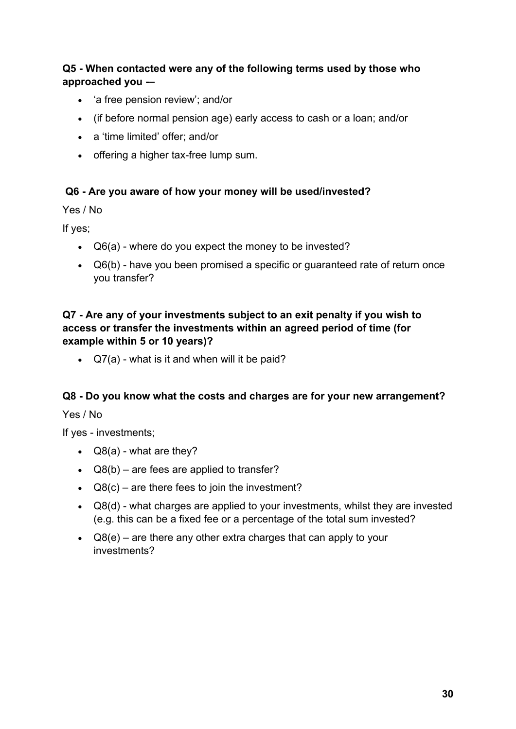#### **Q5 - When contacted were any of the following terms used by those who approached you -–**

- 'a free pension review': and/or
- (if before normal pension age) early access to cash or a loan; and/or
- a 'time limited' offer; and/or
- offering a higher tax-free lump sum.

#### **Q6 - Are you aware of how your money will be used/invested?**

Yes / No

If yes;

- Q6(a) where do you expect the money to be invested?
- Q6(b) have you been promised a specific or guaranteed rate of return once you transfer?

#### **Q7 - Are any of your investments subject to an exit penalty if you wish to access or transfer the investments within an agreed period of time (for example within 5 or 10 years)?**

• Q7(a) - what is it and when will it be paid?

#### **Q8 - Do you know what the costs and charges are for your new arrangement?**

Yes / No

If yes - investments;

- $\bullet$  Q8(a) what are they?
- $\triangleleft$  Q8(b) are fees are applied to transfer?
- $\triangleleft$  Q8(c) are there fees to join the investment?
- Q8(d) what charges are applied to your investments, whilst they are invested (e.g. this can be a fixed fee or a percentage of the total sum invested?
- $\bullet$  Q8(e) are there any other extra charges that can apply to your investments?